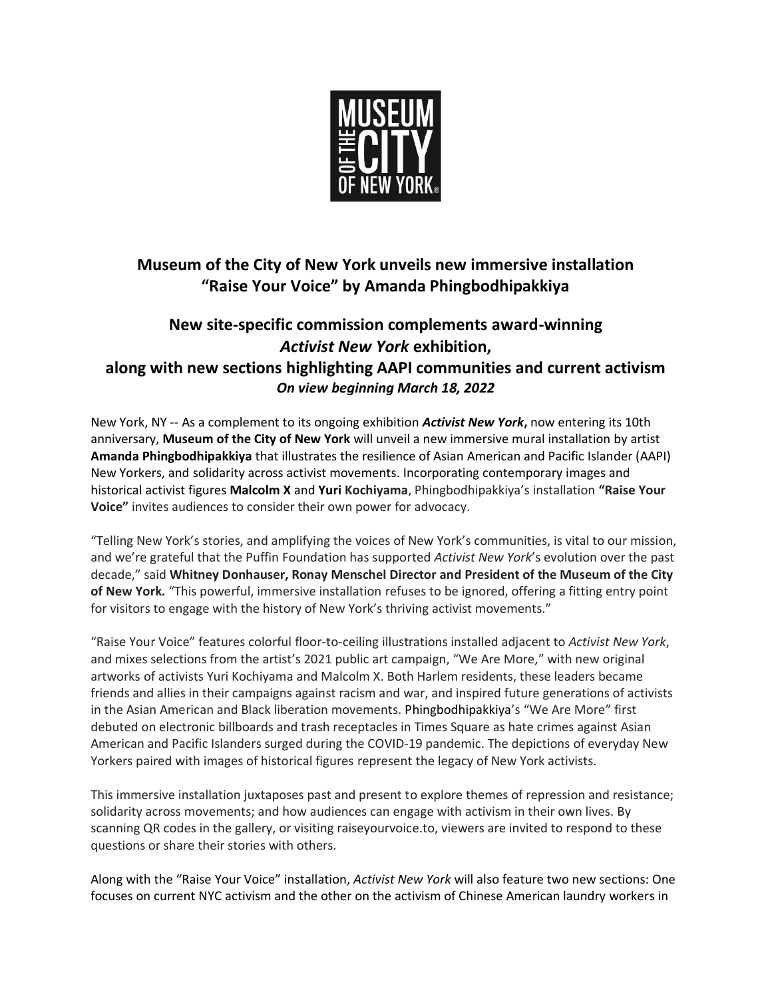

# **Museum of the City of New York unveils new immersive installation "Raise Your Voice" by Amanda Phingbodhipakkiya**

## **New site-specific commission complements award-winning**  *Activist New York* **exhibition, along with new sections highlighting AAPI communities and current activism** *On view beginning March 18, 2022*

New York, NY -- As a complement to its ongoing exhibition *Activist New York***,** now entering its 10th anniversary, **Museum of the City of New York** will unveil a new immersive mural installation by artist **Amanda Phingbodhipakkiya** that illustrates the resilience of Asian American and Pacific Islander (AAPI) New Yorkers, and solidarity across activist movements. Incorporating contemporary images and historical activist figures **Malcolm X** and **Yuri Kochiyama**, Phingbodhipakkiya's installation **"Raise Your Voice"** invites audiences to consider their own power for advocacy.

"Telling New York's stories, and amplifying the voices of New York's communities, is vital to our mission, and we're grateful that the Puffin Foundation has supported *Activist New York*'s evolution over the past decade," said **Whitney Donhauser, Ronay Menschel Director and President of the Museum of the City of New York.** "This powerful, immersive installation refuses to be ignored, offering a fitting entry point for visitors to engage with the history of New York's thriving activist movements."

"Raise Your Voice" features colorful floor-to-ceiling illustrations installed adjacent to *Activist New York*, and mixes selections from the artist's 2021 public art campaign, "We Are More," with new original artworks of activists Yuri Kochiyama and Malcolm X. Both Harlem residents, these leaders became friends and allies in their campaigns against racism and war, and inspired future generations of activists in the Asian American and Black liberation movements. Phingbodhipakkiya's "We Are More" first debuted on electronic billboards and trash receptacles in Times Square as hate crimes against Asian American and Pacific Islanders surged during the COVID-19 pandemic. The depictions of everyday New Yorkers paired with images of historical figures represent the legacy of New York activists.

This immersive installation juxtaposes past and present to explore themes of repression and resistance; solidarity across movements; and how audiences can engage with activism in their own lives. By scanning QR codes in the gallery, or visiting raiseyourvoice.to, viewers are invited to respond to these questions or share their stories with others.

Along with the "Raise Your Voice" installation, *Activist New York* will also feature two new sections: One focuses on current NYC activism and the other on the activism of Chinese American laundry workers in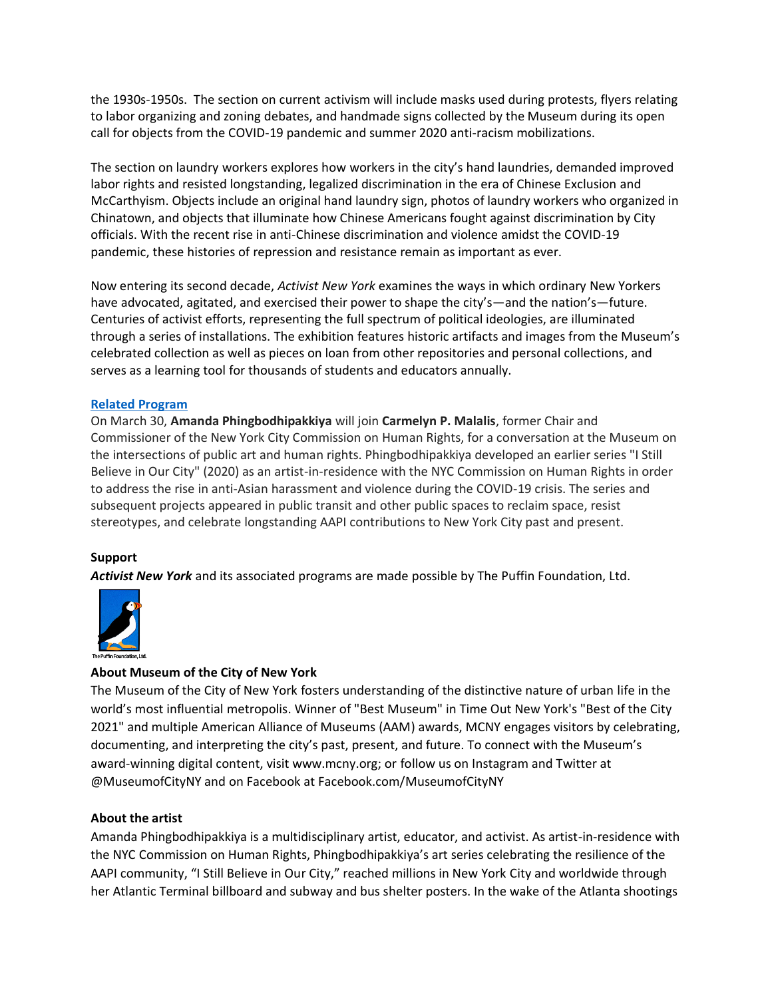the 1930s-1950s. The section on current activism will include masks used during protests, flyers relating to labor organizing and zoning debates, and handmade signs collected by the Museum during its open call for objects from the COVID-19 pandemic and summer 2020 anti-racism mobilizations.

The section on laundry workers explores how workers in the city's hand laundries, demanded improved labor rights and resisted longstanding, legalized discrimination in the era of Chinese Exclusion and McCarthyism. Objects include an original hand laundry sign, photos of laundry workers who organized in Chinatown, and objects that illuminate how Chinese Americans fought against discrimination by City officials. With the recent rise in anti-Chinese discrimination and violence amidst the COVID-19 pandemic, these histories of repression and resistance remain as important as ever.

Now entering its second decade, *Activist New York* examines the ways in which ordinary New Yorkers have advocated, agitated, and exercised their power to shape the city's—and the nation's—future. Centuries of activist efforts, representing the full spectrum of political ideologies, are illuminated through a series of installations. The exhibition features historic artifacts and images from the Museum's celebrated collection as well as pieces on loan from other repositories and personal collections, and serves as a learning tool for thousands of students and educators annually.

#### **[Related Program](https://www.mcny.org/event/raise-your-voice-amanda-phingbodhipakkiya)**

On March 30, **Amanda Phingbodhipakkiya** will join **Carmelyn P. Malalis**, former Chair and Commissioner of the New York City Commission on Human Rights, for a conversation at the Museum on the intersections of public art and human rights. Phingbodhipakkiya developed an earlier series "I Still Believe in Our City" (2020) as an artist-in-residence with the NYC Commission on Human Rights in order to address the rise in anti-Asian harassment and violence during the COVID-19 crisis. The series and subsequent projects appeared in public transit and other public spaces to reclaim space, resist stereotypes, and celebrate longstanding AAPI contributions to New York City past and present.

### **Support**

*Activist New York* and its associated programs are made possible by The Puffin Foundation, Ltd.



### **About Museum of the City of New York**

The Museum of the City of New York fosters understanding of the distinctive nature of urban life in the world's most influential metropolis. Winner of "Best Museum" in Time Out New York's "Best of the City 2021" and multiple American Alliance of Museums (AAM) awards, MCNY engages visitors by celebrating, documenting, and interpreting the city's past, present, and future. To connect with the Museum's award-winning digital content, visit www.mcny.org; or follow us on Instagram and Twitter at @MuseumofCityNY and on Facebook at Facebook.com/MuseumofCityNY

#### **About the artist**

Amanda Phingbodhipakkiya is a multidisciplinary artist, educator, and activist. As artist-in-residence with the NYC Commission on Human Rights, Phingbodhipakkiya's art series celebrating the resilience of the AAPI community, "I Still Believe in Our City," reached millions in New York City and worldwide through her Atlantic Terminal billboard and subway and bus shelter posters. In the wake of the Atlanta shootings